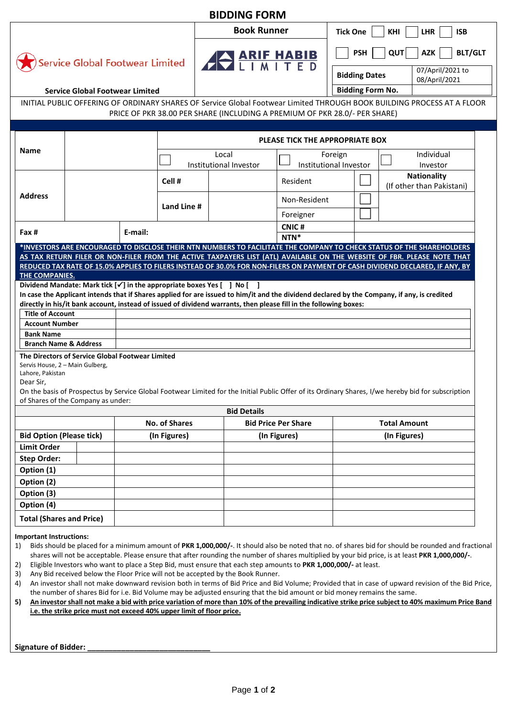| <b>BIDDING FORM</b>                                                                                                                                                                                                                                                                                                                                                                        |                                        |         |                      |                                                                                                                                                                                                                                                                                                                                                                                                                         |                            |                                                                                                                         |                     |                                                                                                                                                    |  |  |
|--------------------------------------------------------------------------------------------------------------------------------------------------------------------------------------------------------------------------------------------------------------------------------------------------------------------------------------------------------------------------------------------|----------------------------------------|---------|----------------------|-------------------------------------------------------------------------------------------------------------------------------------------------------------------------------------------------------------------------------------------------------------------------------------------------------------------------------------------------------------------------------------------------------------------------|----------------------------|-------------------------------------------------------------------------------------------------------------------------|---------------------|----------------------------------------------------------------------------------------------------------------------------------------------------|--|--|
| <b>Book Runner</b>                                                                                                                                                                                                                                                                                                                                                                         |                                        |         |                      |                                                                                                                                                                                                                                                                                                                                                                                                                         |                            | <b>Tick One</b><br>KHI<br><b>LHR</b><br><b>ISB</b>                                                                      |                     |                                                                                                                                                    |  |  |
| <b>Service Global Footwear Limited</b>                                                                                                                                                                                                                                                                                                                                                     |                                        |         |                      | <b>AND ARIE HABIB</b>                                                                                                                                                                                                                                                                                                                                                                                                   |                            | <b>PSH</b><br>QUT<br><b>AZK</b><br>07/April/2021 to<br><b>Bidding Dates</b><br>08/April/2021<br><b>Bidding Form No.</b> |                     | <b>BLT/GLT</b>                                                                                                                                     |  |  |
|                                                                                                                                                                                                                                                                                                                                                                                            | <b>Service Global Footwear Limited</b> |         |                      |                                                                                                                                                                                                                                                                                                                                                                                                                         |                            |                                                                                                                         |                     |                                                                                                                                                    |  |  |
|                                                                                                                                                                                                                                                                                                                                                                                            |                                        |         |                      | PRICE OF PKR 38.00 PER SHARE (INCLUDING A PREMIUM OF PKR 28.0/- PER SHARE)                                                                                                                                                                                                                                                                                                                                              |                            |                                                                                                                         |                     | INITIAL PUBLIC OFFERING OF ORDINARY SHARES OF Service Global Footwear Limited THROUGH BOOK BUILDING PROCESS AT A FLOOR                             |  |  |
| <b>Name</b>                                                                                                                                                                                                                                                                                                                                                                                |                                        |         |                      | PLEASE TICK THE APPROPRIATE BOX                                                                                                                                                                                                                                                                                                                                                                                         |                            |                                                                                                                         |                     |                                                                                                                                                    |  |  |
|                                                                                                                                                                                                                                                                                                                                                                                            |                                        |         |                      | Local<br>Institutional Investor                                                                                                                                                                                                                                                                                                                                                                                         |                            | Foreign<br>Institutional Investor                                                                                       |                     | Individual<br>Investor                                                                                                                             |  |  |
| <b>Address</b>                                                                                                                                                                                                                                                                                                                                                                             |                                        |         | Cell#                |                                                                                                                                                                                                                                                                                                                                                                                                                         | <b>Resident</b>            |                                                                                                                         |                     | <b>Nationality</b><br>(If other than Pakistani)                                                                                                    |  |  |
|                                                                                                                                                                                                                                                                                                                                                                                            |                                        |         | Land Line #          |                                                                                                                                                                                                                                                                                                                                                                                                                         | Non-Resident               |                                                                                                                         |                     |                                                                                                                                                    |  |  |
|                                                                                                                                                                                                                                                                                                                                                                                            |                                        |         |                      |                                                                                                                                                                                                                                                                                                                                                                                                                         | Foreigner                  |                                                                                                                         |                     |                                                                                                                                                    |  |  |
| Fax #                                                                                                                                                                                                                                                                                                                                                                                      |                                        | E-mail: |                      |                                                                                                                                                                                                                                                                                                                                                                                                                         | <b>CNIC#</b><br>NTN*       |                                                                                                                         |                     |                                                                                                                                                    |  |  |
| THE COMPANIES.<br>Dividend Mandate: Mark tick $[\checkmark]$ in the appropriate boxes Yes $[\quad]$ No $[\quad]$<br><b>Title of Account</b><br><b>Account Number</b><br><b>Bank Name</b><br><b>Branch Name &amp; Address</b><br>The Directors of Service Global Footwear Limited<br>Servis House, 2 - Main Gulberg,<br>Lahore, Pakistan<br>Dear Sir,<br>of Shares of the Company as under: |                                        |         |                      | In case the Applicant intends that if Shares applied for are issued to him/it and the dividend declared by the Company, if any, is credited<br>directly in his/it bank account, instead of issued of dividend warrants, then please fill in the following boxes:<br>On the basis of Prospectus by Service Global Footwear Limited for the Initial Public Offer of its Ordinary Shares, I/we hereby bid for subscription |                            |                                                                                                                         |                     |                                                                                                                                                    |  |  |
|                                                                                                                                                                                                                                                                                                                                                                                            |                                        |         |                      | <b>Bid Details</b>                                                                                                                                                                                                                                                                                                                                                                                                      |                            |                                                                                                                         |                     |                                                                                                                                                    |  |  |
|                                                                                                                                                                                                                                                                                                                                                                                            |                                        |         | <b>No. of Shares</b> |                                                                                                                                                                                                                                                                                                                                                                                                                         | <b>Bid Price Per Share</b> |                                                                                                                         | <b>Total Amount</b> |                                                                                                                                                    |  |  |
| <b>Bid Option (Please tick)</b>                                                                                                                                                                                                                                                                                                                                                            |                                        |         | (In Figures)         |                                                                                                                                                                                                                                                                                                                                                                                                                         | (In Figures)               |                                                                                                                         | (In Figures)        |                                                                                                                                                    |  |  |
| <b>Limit Order</b>                                                                                                                                                                                                                                                                                                                                                                         |                                        |         |                      |                                                                                                                                                                                                                                                                                                                                                                                                                         |                            |                                                                                                                         |                     |                                                                                                                                                    |  |  |
| <b>Step Order:</b>                                                                                                                                                                                                                                                                                                                                                                         |                                        |         |                      |                                                                                                                                                                                                                                                                                                                                                                                                                         |                            |                                                                                                                         |                     |                                                                                                                                                    |  |  |
| Option (1)                                                                                                                                                                                                                                                                                                                                                                                 |                                        |         |                      |                                                                                                                                                                                                                                                                                                                                                                                                                         |                            |                                                                                                                         |                     |                                                                                                                                                    |  |  |
| Option (2)                                                                                                                                                                                                                                                                                                                                                                                 |                                        |         |                      |                                                                                                                                                                                                                                                                                                                                                                                                                         |                            |                                                                                                                         |                     |                                                                                                                                                    |  |  |
| Option (3)                                                                                                                                                                                                                                                                                                                                                                                 |                                        |         |                      |                                                                                                                                                                                                                                                                                                                                                                                                                         |                            |                                                                                                                         |                     |                                                                                                                                                    |  |  |
| Option (4)                                                                                                                                                                                                                                                                                                                                                                                 |                                        |         |                      |                                                                                                                                                                                                                                                                                                                                                                                                                         |                            |                                                                                                                         |                     |                                                                                                                                                    |  |  |
| <b>Total (Shares and Price)</b>                                                                                                                                                                                                                                                                                                                                                            |                                        |         |                      |                                                                                                                                                                                                                                                                                                                                                                                                                         |                            |                                                                                                                         |                     |                                                                                                                                                    |  |  |
| <b>Important Instructions:</b><br>1)                                                                                                                                                                                                                                                                                                                                                       |                                        |         |                      | shares will not be acceptable. Please ensure that after rounding the number of shares multiplied by your bid price, is at least PKR 1,000,000/-.                                                                                                                                                                                                                                                                        |                            |                                                                                                                         |                     | Bids should be placed for a minimum amount of PKR 1,000,000/-. It should also be noted that no. of shares bid for should be rounded and fractional |  |  |

2) Eligible Investors who want to place a Step Bid, must ensure that each step amounts to **PKR 1,000,000/-** at least.

3) Any Bid received below the Floor Price will not be accepted by the Book Runner.

- 4) An investor shall not make downward revision both in terms of Bid Price and Bid Volume; Provided that in case of upward revision of the Bid Price, the number of shares Bid for i.e. Bid Volume may be adjusted ensuring that the bid amount or bid money remains the same.
- **5) An investor shall not make a bid with price variation of more than 10% of the prevailing indicative strike price subject to 40% maximum Price Band i.e. the strike price must not exceed 40% upper limit of floor price.**

**Signature of Bidder: \_\_\_\_\_\_\_\_\_\_\_\_\_\_\_\_\_\_\_\_\_\_\_\_\_\_\_\_\_**